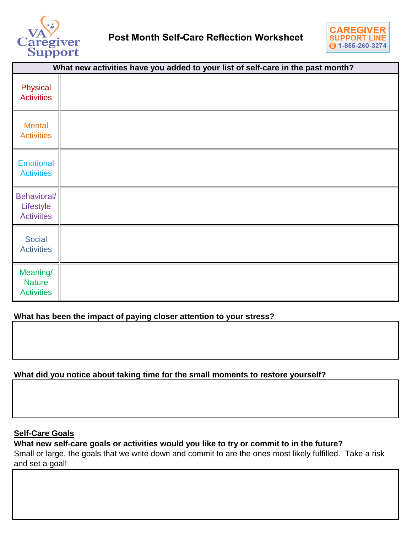



| What new activities have you added to your list of self-care in the past month? |  |
|---------------------------------------------------------------------------------|--|
| Physical<br><b>Activities</b>                                                   |  |
| <b>Mental</b><br><b>Activities</b>                                              |  |
| <b>Emotional</b><br><b>Activities</b>                                           |  |
| Behavioral/<br>Lifestyle<br><b>Activiites</b>                                   |  |
| <b>Social</b><br><b>Activities</b>                                              |  |
| Meaning/<br><b>Nature</b><br><b>Activities</b>                                  |  |

## **What has been the impact of paying closer attention to your stress?**

## **What did you notice about taking time for the small moments to restore yourself?**

#### **Self-Care Goals**

**What new self-care goals or activities would you like to try or commit to in the future?** 

Small or large, the goals that we write down and commit to are the ones most likely fulfilled. Take a risk and set a goal!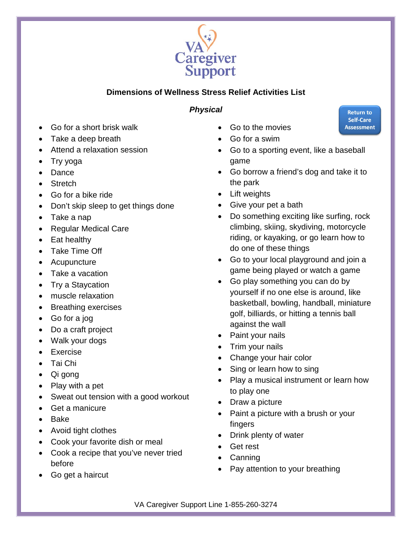

# **Dimensions of Wellness Stress Relief Activities List**

# *Physical*

- <span id="page-1-0"></span>• Go for a short brisk walk
- Take a deep breath
- Attend a relaxation session
- Try yoga
- Dance
- Stretch
- Go for a bike ride
- Don't skip sleep to get things done
- Take a nap
- Regular Medical Care
- Eat healthy
- Take Time Off
- Acupuncture
- Take a vacation
- Try a Staycation
- muscle relaxation
- Breathing exercises
- Go for a jog
- Do a craft project
- Walk your dogs
- Exercise
- Tai Chi
- Qi gong
- Play with a pet
- Sweat out tension with a good workout
- Get a manicure
- Bake
- Avoid tight clothes
- Cook your favorite dish or meal
- Cook a recipe that you've never tried before
- Go get a haircut
- Go to the movies
- Go for a swim
- Go to a sporting event, like a baseball game
- Go borrow a friend's dog and take it to the park
- Lift weights
- Give your pet a bath
- Do something exciting like surfing, rock climbing, skiing, skydiving, motorcycle riding, or kayaking, or go learn how to do one of these things
- Go to your local playground and join a game being played or watch a game
- Go play something you can do by yourself if no one else is around, like basketball, bowling, handball, miniature golf, billiards, or hitting a tennis ball against the wall
- Paint your nails
- Trim your nails
- Change your hair color
- Sing or learn how to sing
- Play a musical instrument or learn how to play one
- Draw a picture
- Paint a picture with a brush or your fingers
- Drink plenty of water
- Get rest
- Canning
- Pay attention to your breathing

VA Caregiver Support Line 1-855-260-3274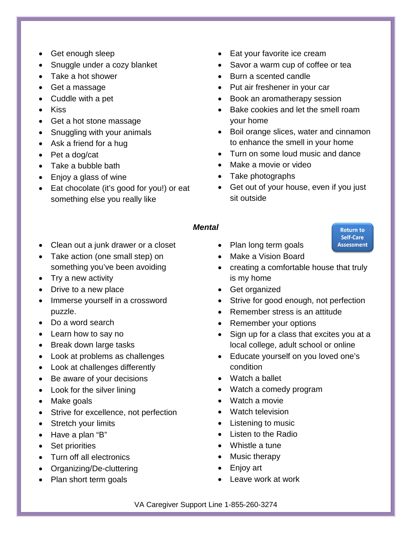- <span id="page-2-0"></span>• Get enough sleep
- Snuggle under a cozy blanket
- Take a hot shower
- Get a massage
- Cuddle with a pet
- Kiss
- Get a hot stone massage
- Snuggling with your animals
- Ask a friend for a hug
- Pet a dog/cat
- Take a bubble bath
- Enjoy a glass of wine
- Eat chocolate (it's good for you!) or eat something else you really like
- Eat your favorite ice cream
- Savor a warm cup of coffee or tea
- Burn a scented candle
- Put air freshener in your car
- Book an aromatherapy session
- Bake cookies and let the smell roam your home
- Boil orange slices, water and cinnamon to enhance the smell in your home
- Turn on some loud music and dance
- Make a movie or video
- Take photographs
- Get out of your house, even if you just sit outside

**Return to** Self-Care **Assessment** 

#### *Mental*

- Clean out a junk drawer or a closet
- Take action (one small step) on something you've been avoiding
- Try a new activity
- Drive to a new place
- Immerse yourself in a crossword puzzle.
- Do a word search
- Learn how to say no
- Break down large tasks
- Look at problems as challenges
- Look at challenges differently
- Be aware of your decisions
- Look for the silver lining
- Make goals
- Strive for excellence, not perfection
- Stretch your limits
- Have a plan "B"
- Set priorities
- Turn off all electronics
- Organizing/De-cluttering
- Plan short term goals
- Plan long term goals
- Make a Vision Board
- creating a comfortable house that truly is my home
- Get organized
- Strive for good enough, not perfection
- Remember stress is an attitude
- Remember your options
- Sign up for a class that excites you at a local college, adult school or online
- Educate yourself on you loved one's condition
- Watch a ballet
- Watch a comedy program
- Watch a movie
- Watch television
- Listening to music
- Listen to the Radio
- Whistle a tune
- Music therapy
- Enjoy art
- Leave work at work

VA Caregiver Support Line 1-855-260-3274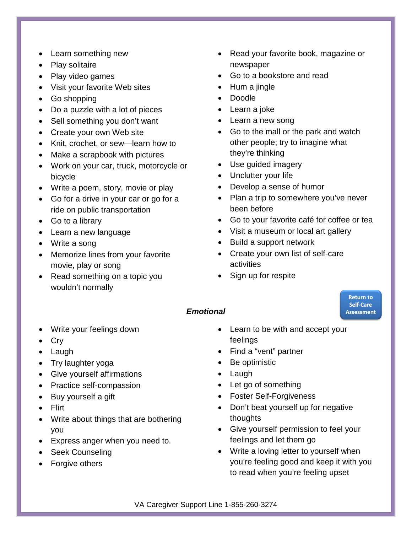- <span id="page-3-0"></span>• Learn something new
- Play solitaire
- Play video games
- Visit your favorite Web sites
- Go shopping
- Do a puzzle with a lot of pieces
- Sell something you don't want
- Create your own Web site
- Knit, crochet, or sew—learn how to
- Make a scrapbook with pictures
- Work on your car, truck, motorcycle or bicycle
- Write a poem, story, movie or play
- Go for a drive in your car or go for a ride on public transportation
- Go to a library
- Learn a new language
- Write a song
- Memorize lines from your favorite movie, play or song
- Read something on a topic you wouldn't normally
- Read your favorite book, magazine or newspaper
- Go to a bookstore and read
- Hum a jingle
- Doodle
- Learn a joke
- Learn a new song
- Go to the mall or the park and watch other people; try to imagine what they're thinking
- Use guided imagery
- Unclutter your life
- Develop a sense of humor
- Plan a trip to somewhere you've never been before
- Go to your favorite café for coffee or tea
- Visit a museum or local art gallery
- Build a support network
- Create your own list of self-care activities
- Sign up for respite

### *Emotional*

- Write your feelings down
- Cry
- Laugh
- Try laughter yoga
- Give yourself affirmations
- Practice self-compassion
- Buy yourself a gift
- Flirt
- Write about things that are bothering you
- Express anger when you need to.
- Seek Counseling
- Forgive others
- Learn to be with and accept your feelings
- Find a "vent" partner
- Be optimistic
- Laugh
- Let go of something
- Foster Self-Forgiveness
- Don't beat yourself up for negative thoughts
- Give yourself permission to feel your feelings and let them go
- Write a loving letter to yourself when you're feeling good and keep it with you to read when you're feeling upset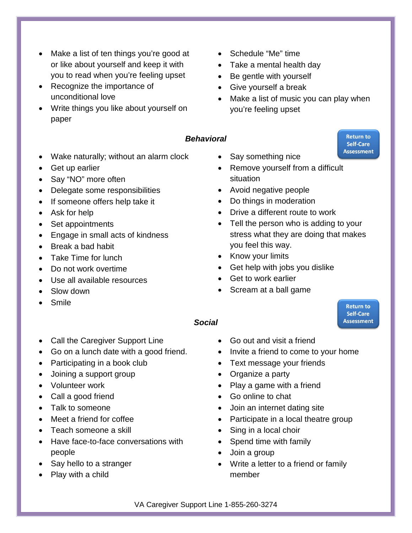- <span id="page-4-0"></span>Make a list of ten things you're good at or like about yourself and keep it with you to read when you're feeling upset
- Recognize the importance of unconditional love
- Write things you like about yourself on paper
- Schedule "Me" time
- Take a mental health day
- Be gentle with yourself
- Give yourself a break
- Make a list of music you can play when you're feeling upset

#### *Behavioral*

- Wake naturally; without an alarm clock
- Get up earlier
- Say "NO" more often
- Delegate some responsibilities
- If someone offers help take it
- Ask for help
- Set appointments
- Engage in small acts of kindness
- Break a bad habit
- Take Time for lunch
- Do not work overtime
- Use all available resources
- Slow down
- Smile
- Say something nice
- Remove yourself from a difficult situation
- Avoid negative people
- Do things in moderation
- Drive a different route to work
- Tell the person who is adding to your stress what they are doing that makes you feel this way.
- Know your limits
- Get help with jobs you dislike
- Get to work earlier
- Scream at a ball game

#### *Social*

- Call the Caregiver Support Line
- Go on a lunch date with a good friend.
- Participating in a book club
- Joining a support group
- Volunteer work
- Call a good friend
- Talk to someone
- Meet a friend for coffee
- Teach someone a skill
- Have face-to-face conversations with people
- Say hello to a stranger
- Play with a child
- Go out and visit a friend
- Invite a friend to come to your home
- Text message your friends
- Organize a party
- Play a game with a friend
- Go online to chat
- Join an internet dating site
- Participate in a local theatre group
- Sing in a local choir
- Spend time with family
- Join a group
- Write a letter to a friend or family member

VA Caregiver Support Line 1-855-260-3274

**Return to** Self-Care **Assessment**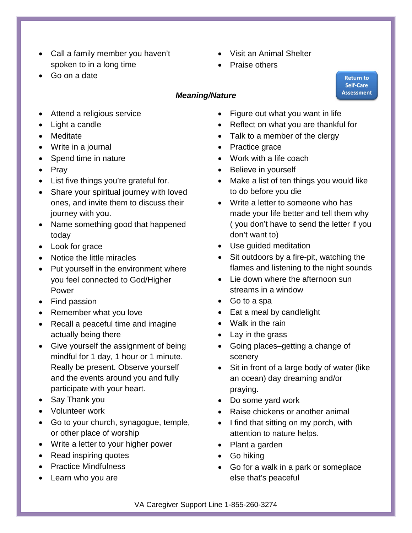- <span id="page-5-0"></span>• Call a family member you haven't spoken to in a long time
- Go on a date
- Visit an Animal Shelter
- Praise others

## *Meaning/Nature*

- Attend a religious service
- Light a candle
- Meditate
- Write in a journal
- Spend time in [nature](https://www.psychologytoday.com/basics/environment)
- Pray
- List five things you're [grateful](https://www.psychologytoday.com/basics/gratitude) for.
- Share your spiritual journey with loved ones, and invite them to discuss their journey with you.
- Name something good that happened today
- Look for grace
- Notice the little miracles
- Put yourself in the environment where you feel connected to God/Higher Power
- Find passion
- Remember what you love
- Recall a peaceful time and imagine actually being there
- Give yourself the assignment of being mindful for 1 day, 1 hour or 1 minute. Really be present. Observe yourself and the events around you and fully participate with your heart.
- Say Thank you
- Volunteer work
- Go to your church, synagogue, temple, or other place of worship
- Write a letter to your higher power
- Read inspiring quotes
- Practice Mindfulness
- Learn who you are
- Figure out what you want in life
- Reflect on what you are thankful for
- Talk to a member of the clergy
- Practice grace
- Work with a life coach
- Believe in yourself
- Make a list of ten things you would like to do before you die
- Write a letter to someone who has made your life better and tell them why ( you don't have to send the letter if you don't want to)
- Use guided meditation
- Sit outdoors by a fire-pit, watching the flames and listening to the night sounds
- Lie down where the afternoon sun streams in a window
- Go to a spa
- Eat a meal by candlelight
- Walk in the rain
- Lay in the grass
- Going places–getting a change of scenery
- Sit in front of a large body of water (like an ocean) day dreaming and/or praying.
- Do some yard work
- Raise chickens or another animal
- I find that sitting on my porch, with attention to nature helps.
- Plant a garden
- Go hiking
- Go for a walk in a park or someplace else that's peaceful